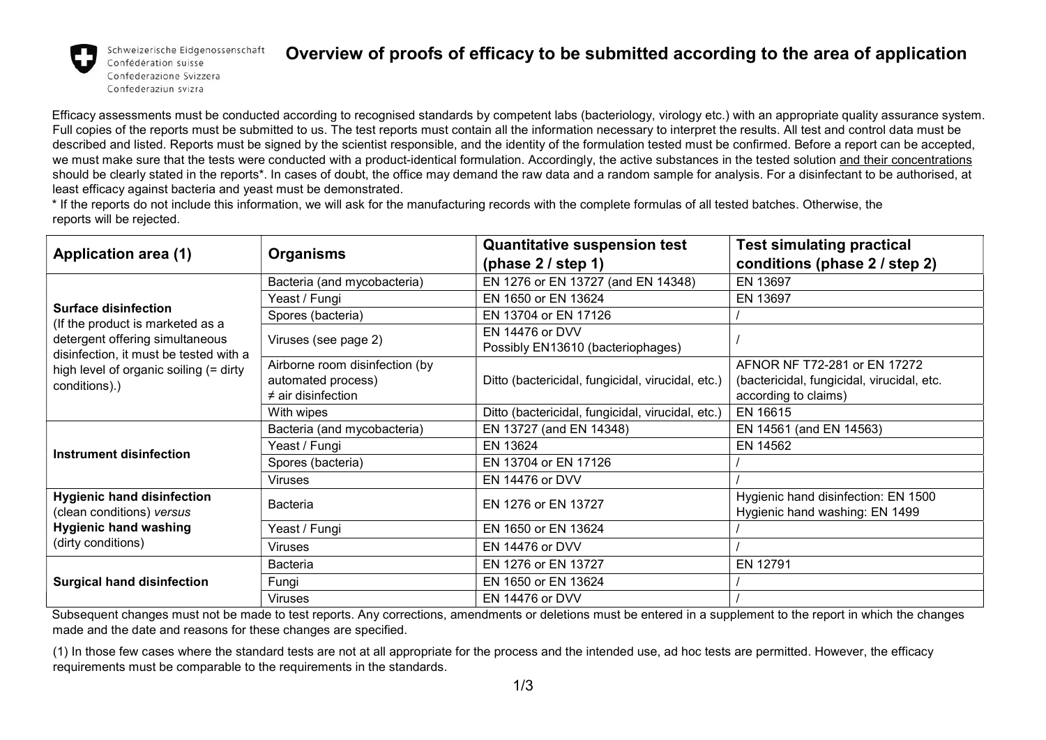

Schweizerische Eidgenossenschaft Confédération suisse Confederazione Svizzera Confederaziun svizra

## Overview of proofs of efficacy to be submitted according to the area of application

Efficacy assessments must be conducted according to recognised standards by competent labs (bacteriology, virology etc.) with an appropriate quality assurance system. Full copies of the reports must be submitted to us. The test reports must contain all the information necessary to interpret the results. All test and control data must be described and listed. Reports must be signed by the scientist responsible, and the identity of the formulation tested must be confirmed. Before a report can be accepted, we must make sure that the tests were conducted with a product-identical formulation. Accordingly, the active substances in the tested solution and their concentrations should be clearly stated in the reports<sup>\*</sup>. In cases of doubt, the office may demand the raw data and a random sample for analysis. For a disinfectant to be authorised, at least efficacy against bacteria and yeast must be demonstrated.

\* If the reports do not include this information, we will ask for the manufacturing records with the complete formulas of all tested batches. Otherwise, the reports will be rejected.

| <b>Application area (1)</b>                                                                                                                                                                             | <b>Organisms</b>                                                                | <b>Quantitative suspension test</b>                  | <b>Test simulating practical</b>                                                                   |
|---------------------------------------------------------------------------------------------------------------------------------------------------------------------------------------------------------|---------------------------------------------------------------------------------|------------------------------------------------------|----------------------------------------------------------------------------------------------------|
|                                                                                                                                                                                                         |                                                                                 | (phase $2 /$ step 1)                                 | conditions (phase 2 / step 2)                                                                      |
| <b>Surface disinfection</b><br>(If the product is marketed as a<br>detergent offering simultaneous<br>disinfection, it must be tested with a<br>high level of organic soiling (= dirty<br>conditions).) | Bacteria (and mycobacteria)                                                     | EN 1276 or EN 13727 (and EN 14348)                   | EN 13697                                                                                           |
|                                                                                                                                                                                                         | Yeast / Fungi                                                                   | EN 1650 or EN 13624                                  | EN 13697                                                                                           |
|                                                                                                                                                                                                         | Spores (bacteria)                                                               | EN 13704 or EN 17126                                 |                                                                                                    |
|                                                                                                                                                                                                         | Viruses (see page 2)                                                            | EN 14476 or DVV<br>Possibly EN13610 (bacteriophages) |                                                                                                    |
|                                                                                                                                                                                                         | Airborne room disinfection (by<br>automated process)<br>$\neq$ air disinfection | Ditto (bactericidal, fungicidal, virucidal, etc.)    | AFNOR NF T72-281 or EN 17272<br>(bactericidal, fungicidal, virucidal, etc.<br>according to claims) |
|                                                                                                                                                                                                         | With wipes                                                                      | Ditto (bactericidal, fungicidal, virucidal, etc.)    | EN 16615                                                                                           |
| <b>Instrument disinfection</b>                                                                                                                                                                          | Bacteria (and mycobacteria)                                                     | EN 13727 (and EN 14348)                              | EN 14561 (and EN 14563)                                                                            |
|                                                                                                                                                                                                         | Yeast / Fungi                                                                   | EN 13624                                             | EN 14562                                                                                           |
|                                                                                                                                                                                                         | Spores (bacteria)                                                               | EN 13704 or EN 17126                                 |                                                                                                    |
|                                                                                                                                                                                                         | <b>Viruses</b>                                                                  | EN 14476 or DVV                                      |                                                                                                    |
| <b>Hygienic hand disinfection</b><br>(clean conditions) versus<br><b>Hygienic hand washing</b><br>(dirty conditions)                                                                                    | <b>Bacteria</b>                                                                 | EN 1276 or EN 13727                                  | Hygienic hand disinfection: EN 1500<br>Hygienic hand washing: EN 1499                              |
|                                                                                                                                                                                                         | Yeast / Fungi                                                                   | EN 1650 or EN 13624                                  |                                                                                                    |
|                                                                                                                                                                                                         | <b>Viruses</b>                                                                  | EN 14476 or DVV                                      |                                                                                                    |
| <b>Surgical hand disinfection</b>                                                                                                                                                                       | <b>Bacteria</b>                                                                 | EN 1276 or EN 13727                                  | EN 12791                                                                                           |
|                                                                                                                                                                                                         | Fungi                                                                           | EN 1650 or EN 13624                                  |                                                                                                    |
|                                                                                                                                                                                                         | Viruses                                                                         | EN 14476 or DVV                                      |                                                                                                    |

Subsequent changes must not be made to test reports. Any corrections, amendments or deletions must be entered in a supplement to the report in which the changes made and the date and reasons for these changes are specified.

(1) In those few cases where the standard tests are not at all appropriate for the process and the intended use, ad hoc tests are permitted. However, the efficacy requirements must be comparable to the requirements in the standards.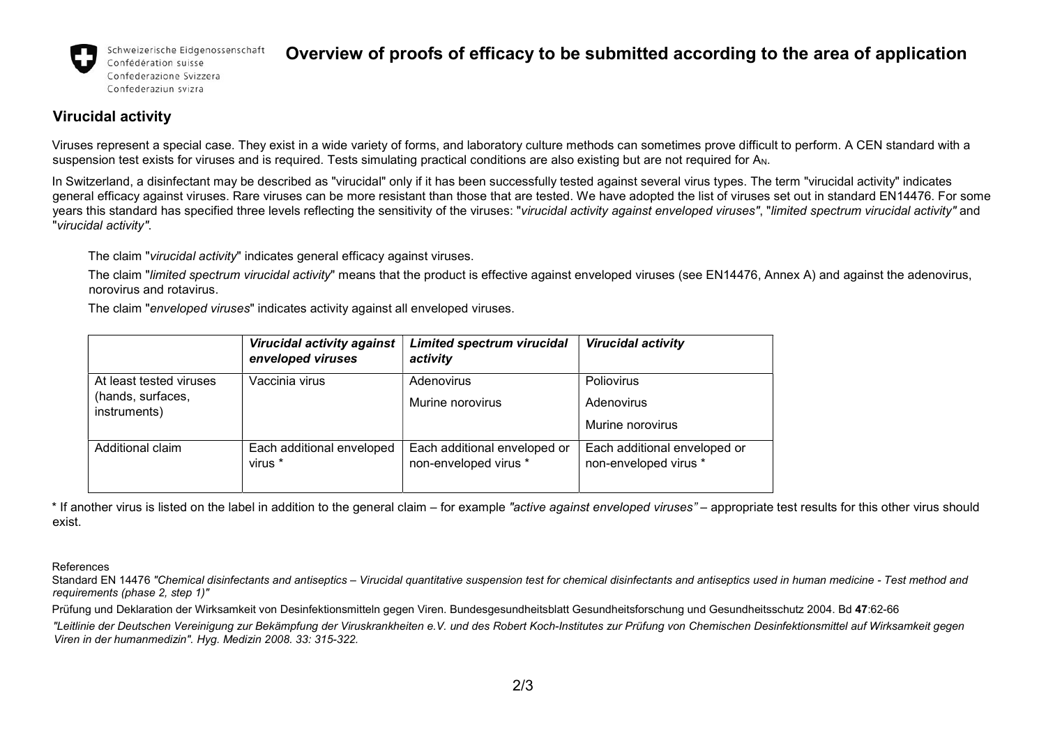

Schweizerische Eidgenossenschaft Confédération suisse Confederazione Svizzera

Confederaziun svizra

## Overview of proofs of efficacy to be submitted according to the area of application

## Virucidal activity

Viruses represent a special case. They exist in a wide variety of forms, and laboratory culture methods can sometimes prove difficult to perform. A CEN standard with a suspension test exists for viruses and is required. Tests simulating practical conditions are also existing but are not required for A<sub>N</sub>.

In Switzerland, a disinfectant may be described as "virucidal" only if it has been successfully tested against several virus types. The term "virucidal activity" indicates general efficacy against viruses. Rare viruses can be more resistant than those that are tested. We have adopted the list of viruses set out in standard EN14476. For some years this standard has specified three levels reflecting the sensitivity of the viruses: "virucidal activity against enveloped viruses", "limited spectrum virucidal activity" and "virucidal activity".

The claim "virucidal activity" indicates general efficacy against viruses.

The claim "limited spectrum virucidal activity" means that the product is effective against enveloped viruses (see EN14476, Annex A) and against the adenovirus, norovirus and rotavirus.

The claim "enveloped viruses" indicates activity against all enveloped viruses.

|                                                              | <b>Virucidal activity against</b><br>enveloped viruses | <b>Limited spectrum virucidal</b><br>activity         | <b>Virucidal activity</b>                             |
|--------------------------------------------------------------|--------------------------------------------------------|-------------------------------------------------------|-------------------------------------------------------|
| At least tested viruses<br>(hands, surfaces,<br>instruments) | Vaccinia virus                                         | Adenovirus<br>Murine norovirus                        | Poliovirus<br>Adenovirus<br>Murine norovirus          |
| Additional claim                                             | Each additional enveloped<br>virus *                   | Each additional enveloped or<br>non-enveloped virus * | Each additional enveloped or<br>non-enveloped virus * |

\* If another virus is listed on the label in addition to the general claim – for example "active against enveloped viruses" – appropriate test results for this other virus should exist.

References

Standard EN 14476 "Chemical disinfectants and antiseptics – Virucidal quantitative suspension test for chemical disinfectants and antiseptics used in human medicine - Test method and requirements (phase 2, step 1)"

Prüfung und Deklaration der Wirksamkeit von Desinfektionsmitteln gegen Viren. Bundesgesundheitsblatt Gesundheitsforschung und Gesundheitsschutz 2004. Bd 47:62-66

"Leitlinie der Deutschen Vereinigung zur Bekämpfung der Viruskrankheiten e.V. und des Robert Koch-Institutes zur Prüfung von Chemischen Desinfektionsmittel auf Wirksamkeit gegen Viren in der humanmedizin". Hyg. Medizin 2008. 33: 315-322.